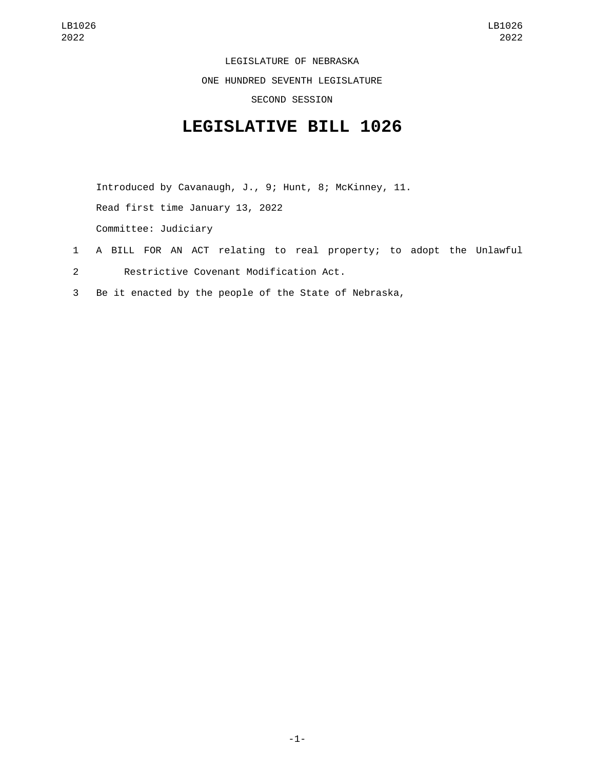LEGISLATURE OF NEBRASKA

ONE HUNDRED SEVENTH LEGISLATURE

SECOND SESSION

## **LEGISLATIVE BILL 1026**

Introduced by Cavanaugh, J., 9; Hunt, 8; McKinney, 11. Read first time January 13, 2022 Committee: Judiciary

- 1 A BILL FOR AN ACT relating to real property; to adopt the Unlawful
- Restrictive Covenant Modification Act.2
- 3 Be it enacted by the people of the State of Nebraska,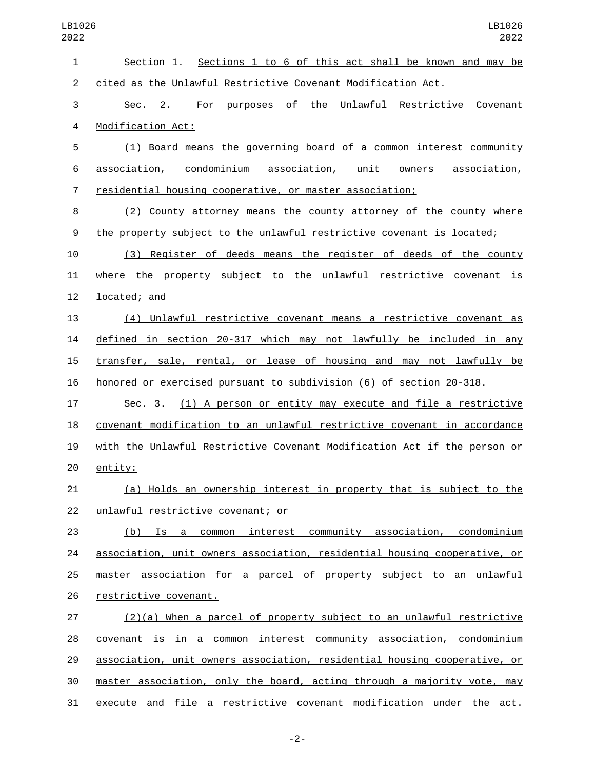| LB1026<br>2022 | LB1026<br>2022                                                            |
|----------------|---------------------------------------------------------------------------|
| 1              | Section 1. Sections 1 to 6 of this act shall be known and may be          |
| $\overline{c}$ | cited as the Unlawful Restrictive Covenant Modification Act.              |
| 3              | For purposes of the Unlawful Restrictive Covenant<br>2.<br>Sec.           |
| 4              | Modification Act:                                                         |
| 5              | (1) Board means the governing board of a common interest community        |
| 6              | association, condominium association, unit owners association,            |
| 7              | residential housing cooperative, or master association;                   |
| 8              | (2) County attorney means the county attorney of the county where         |
| 9              | the property subject to the unlawful restrictive covenant is located;     |
| 10             | (3) Register of deeds means the register of deeds of the county           |
| 11             | where the property subject to the unlawful restrictive covenant is        |
| 12             | located; and                                                              |
| 13             | (4) Unlawful restrictive covenant means a restrictive covenant as         |
| 14             | defined in section 20-317 which may not lawfully be included in any       |
| 15             | transfer, sale, rental, or lease of housing and may not lawfully be       |
| 16             | honored or exercised pursuant to subdivision (6) of section 20-318.       |
| 17             | (1) A person or entity may execute and file a restrictive<br>Sec. 3.      |
| 18             | covenant modification to an unlawful restrictive covenant in accordance   |
| 19             | with the Unlawful Restrictive Covenant Modification Act if the person or  |
| 20             | entity:                                                                   |
| 21             | (a) Holds an ownership interest in property that is subject to the        |
| 22             | unlawful restrictive covenant; or                                         |
| 23             | (b) Is a common interest community association, condominium               |
| 24             | association, unit owners association, residential housing cooperative, or |
| 25             | master association for a parcel of property subject to an unlawful        |
| 26             | restrictive covenant.                                                     |
| 27             | $(2)(a)$ When a parcel of property subject to an unlawful restrictive     |
| 28             | covenant is in a common interest community association, condominium       |
| 29             | association, unit owners association, residential housing cooperative, or |
| 30             | master association, only the board, acting through a majority vote, may   |
| 31             | execute and file a restrictive covenant modification under the act.       |

-2-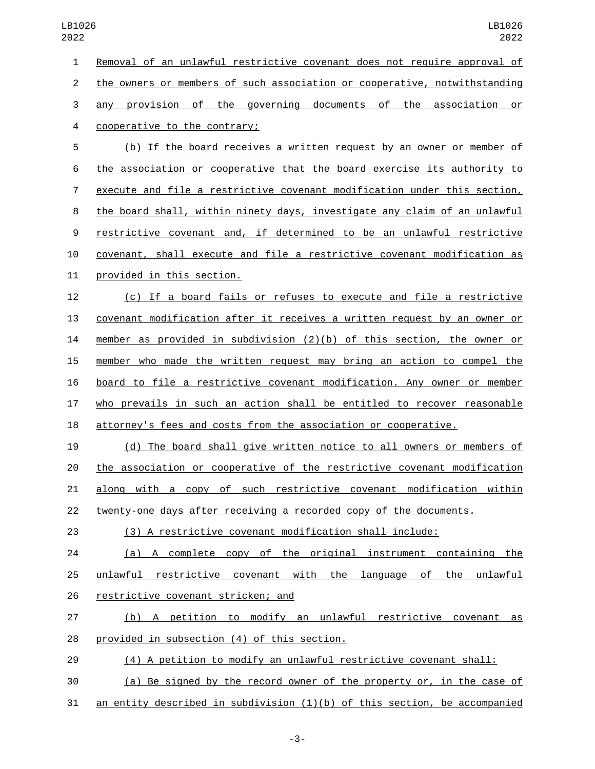Removal of an unlawful restrictive covenant does not require approval of the owners or members of such association or cooperative, notwithstanding any provision of the governing documents of the association or 4 cooperative to the contrary; (b) If the board receives a written request by an owner or member of the association or cooperative that the board exercise its authority to execute and file a restrictive covenant modification under this section, the board shall, within ninety days, investigate any claim of an unlawful restrictive covenant and, if determined to be an unlawful restrictive covenant, shall execute and file a restrictive covenant modification as 11 provided in this section. (c) If a board fails or refuses to execute and file a restrictive covenant modification after it receives a written request by an owner or member as provided in subdivision (2)(b) of this section, the owner or member who made the written request may bring an action to compel the board to file a restrictive covenant modification. Any owner or member who prevails in such an action shall be entitled to recover reasonable attorney's fees and costs from the association or cooperative. (d) The board shall give written notice to all owners or members of the association or cooperative of the restrictive covenant modification along with a copy of such restrictive covenant modification within 22 twenty-one days after receiving a recorded copy of the documents. (3) A restrictive covenant modification shall include: (a) A complete copy of the original instrument containing the unlawful restrictive covenant with the language of the unlawful 26 restrictive covenant stricken; and (b) A petition to modify an unlawful restrictive covenant as 28 provided in subsection (4) of this section.

(4) A petition to modify an unlawful restrictive covenant shall:

 (a) Be signed by the record owner of the property or, in the case of an entity described in subdivision (1)(b) of this section, be accompanied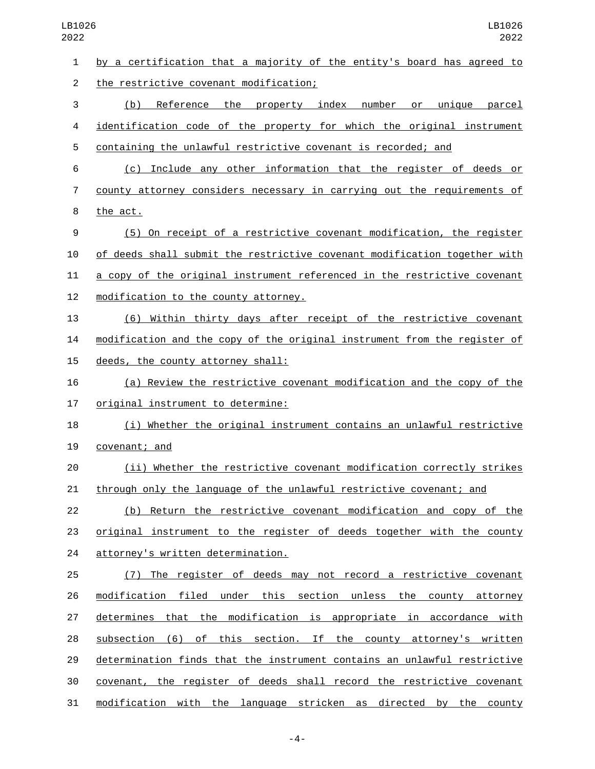| $\mathbf{1}$   | by a certification that a majority of the entity's board has agreed to    |
|----------------|---------------------------------------------------------------------------|
| $\overline{2}$ | the restrictive covenant modification;                                    |
| 3              | Reference the property index number<br>(b)<br>or <u>unique parcel</u>     |
| 4              | identification code of the property for which the original instrument     |
| 5              | containing the unlawful restrictive covenant is recorded; and             |
| 6              | (c) Include any other information that the register of deeds or           |
| 7              | county attorney considers necessary in carrying out the requirements of   |
| 8              | the act.                                                                  |
| 9              | (5) On receipt of a restrictive covenant modification, the register       |
| 10             | of deeds shall submit the restrictive covenant modification together with |
| 11             | a copy of the original instrument referenced in the restrictive covenant  |
| 12             | modification to the county attorney.                                      |
| 13             | (6) Within thirty days after receipt of the restrictive covenant          |
| 14             | modification and the copy of the original instrument from the register of |
| 15             | deeds, the county attorney shall:                                         |
| 16             | (a) Review the restrictive covenant modification and the copy of the      |
| 17             | original instrument to determine:                                         |
| 18             | (i) Whether the original instrument contains an unlawful restrictive      |
| 19             | covenant; and                                                             |
| 20             | (ii) Whether the restrictive covenant modification correctly strikes      |
| 21             | through only the language of the unlawful restrictive covenant; and       |
| 22             | (b) Return the restrictive covenant modification and copy of the          |
| 23             | original instrument to the register of deeds together with the county     |
| 24             | attorney's written determination.                                         |
| 25             | (7) The register of deeds may not record a restrictive covenant           |
| 26             | modification filed under this section unless the county attorney          |
| 27             | determines that the modification is appropriate in accordance with        |
| 28             | subsection (6) of this section. If the county attorney's written          |
| 29             | determination finds that the instrument contains an unlawful restrictive  |
| 30             | covenant, the register of deeds shall record the restrictive covenant     |
| 31             | modification with the language stricken as directed by the county         |